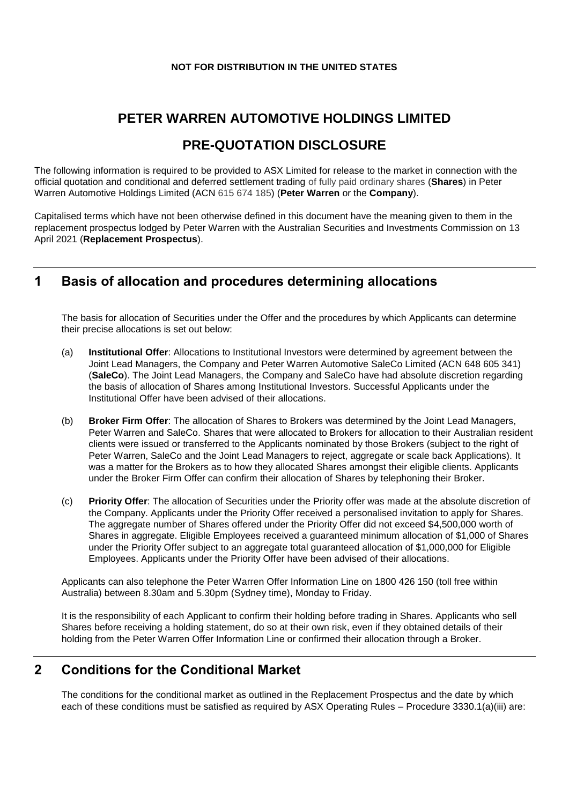#### **NOT FOR DISTRIBUTION IN THE UNITED STATES**

# **PETER WARREN AUTOMOTIVE HOLDINGS LIMITED**

## **PRE-QUOTATION DISCLOSURE**

The following information is required to be provided to ASX Limited for release to the market in connection with the official quotation and conditional and deferred settlement trading of fully paid ordinary shares (**Shares**) in Peter Warren Automotive Holdings Limited (ACN 615 674 185) (**Peter Warren** or the **Company**).

Capitalised terms which have not been otherwise defined in this document have the meaning given to them in the replacement prospectus lodged by Peter Warren with the Australian Securities and Investments Commission on 13 April 2021 (**Replacement Prospectus**).

## **1 Basis of allocation and procedures determining allocations**

The basis for allocation of Securities under the Offer and the procedures by which Applicants can determine their precise allocations is set out below:

- (a) **Institutional Offer**: Allocations to Institutional Investors were determined by agreement between the Joint Lead Managers, the Company and Peter Warren Automotive SaleCo Limited (ACN 648 605 341) (**SaleCo**). The Joint Lead Managers, the Company and SaleCo have had absolute discretion regarding the basis of allocation of Shares among Institutional Investors. Successful Applicants under the Institutional Offer have been advised of their allocations.
- (b) **Broker Firm Offer**: The allocation of Shares to Brokers was determined by the Joint Lead Managers, Peter Warren and SaleCo. Shares that were allocated to Brokers for allocation to their Australian resident clients were issued or transferred to the Applicants nominated by those Brokers (subject to the right of Peter Warren, SaleCo and the Joint Lead Managers to reject, aggregate or scale back Applications). It was a matter for the Brokers as to how they allocated Shares amongst their eligible clients. Applicants under the Broker Firm Offer can confirm their allocation of Shares by telephoning their Broker.
- (c) **Priority Offer**: The allocation of Securities under the Priority offer was made at the absolute discretion of the Company. Applicants under the Priority Offer received a personalised invitation to apply for Shares. The aggregate number of Shares offered under the Priority Offer did not exceed \$4,500,000 worth of Shares in aggregate. Eligible Employees received a guaranteed minimum allocation of \$1,000 of Shares under the Priority Offer subject to an aggregate total guaranteed allocation of \$1,000,000 for Eligible Employees. Applicants under the Priority Offer have been advised of their allocations.

Applicants can also telephone the Peter Warren Offer Information Line on 1800 426 150 (toll free within Australia) between 8.30am and 5.30pm (Sydney time), Monday to Friday.

It is the responsibility of each Applicant to confirm their holding before trading in Shares. Applicants who sell Shares before receiving a holding statement, do so at their own risk, even if they obtained details of their holding from the Peter Warren Offer Information Line or confirmed their allocation through a Broker.

## **2 Conditions for the Conditional Market**

The conditions for the conditional market as outlined in the Replacement Prospectus and the date by which each of these conditions must be satisfied as required by ASX Operating Rules – Procedure 3330.1(a)(iii) are: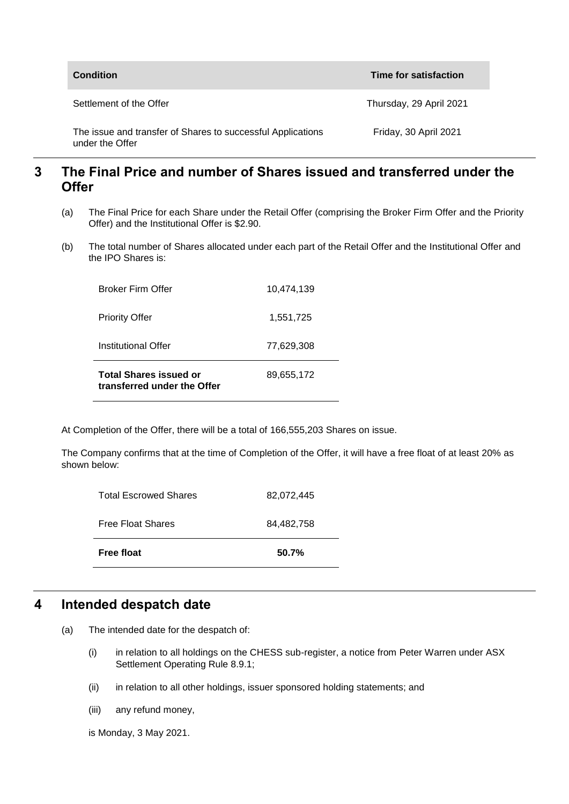| <b>Condition</b>                                                               | Time for satisfaction   |
|--------------------------------------------------------------------------------|-------------------------|
| Settlement of the Offer                                                        | Thursday, 29 April 2021 |
| The issue and transfer of Shares to successful Applications<br>under the Offer | Friday, 30 April 2021   |

#### **3 The Final Price and number of Shares issued and transferred under the Offer**

- (a) The Final Price for each Share under the Retail Offer (comprising the Broker Firm Offer and the Priority Offer) and the Institutional Offer is \$2.90.
- (b) The total number of Shares allocated under each part of the Retail Offer and the Institutional Offer and the IPO Shares is:

| <b>Total Shares issued or</b><br>transferred under the Offer | 89.655.172 |
|--------------------------------------------------------------|------------|
| Institutional Offer                                          | 77,629,308 |
| <b>Priority Offer</b>                                        | 1,551,725  |
| <b>Broker Firm Offer</b>                                     | 10.474.139 |

At Completion of the Offer, there will be a total of 166,555,203 Shares on issue.

The Company confirms that at the time of Completion of the Offer, it will have a free float of at least 20% as shown below:

| <b>Free float</b>            | 50.7%      |
|------------------------------|------------|
| <b>Free Float Shares</b>     | 84,482,758 |
| <b>Total Escrowed Shares</b> | 82,072,445 |

#### **4 Intended despatch date**

- (a) The intended date for the despatch of:
	- (i) in relation to all holdings on the CHESS sub-register, a notice from Peter Warren under ASX Settlement Operating Rule 8.9.1:
	- (ii) in relation to all other holdings, issuer sponsored holding statements; and
	- (iii) any refund money,

is Monday, 3 May 2021.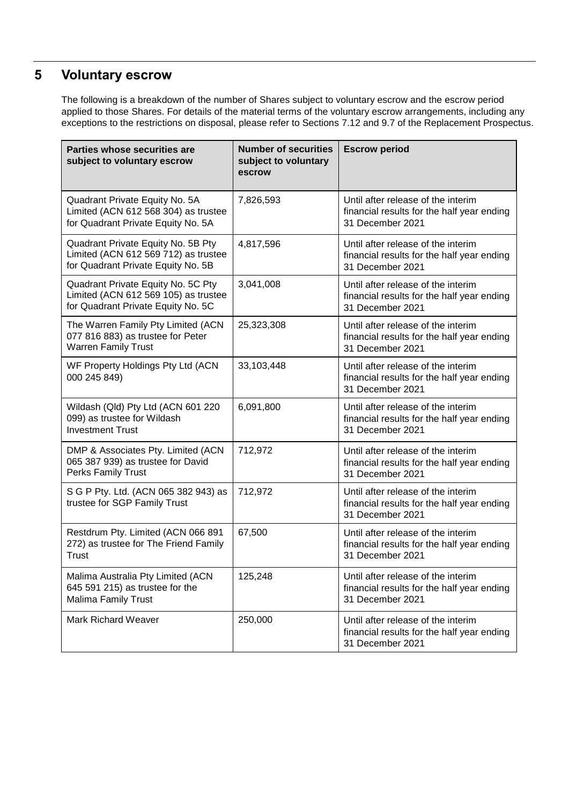# **5 Voluntary escrow**

The following is a breakdown of the number of Shares subject to voluntary escrow and the escrow period applied to those Shares. For details of the material terms of the voluntary escrow arrangements, including any exceptions to the restrictions on disposal, please refer to Sections 7.12 and 9.7 of the Replacement Prospectus.

| <b>Parties whose securities are</b><br>subject to voluntary escrow                                               | <b>Number of securities</b><br>subject to voluntary<br>escrow | <b>Escrow period</b>                                                                                 |
|------------------------------------------------------------------------------------------------------------------|---------------------------------------------------------------|------------------------------------------------------------------------------------------------------|
| Quadrant Private Equity No. 5A<br>Limited (ACN 612 568 304) as trustee<br>for Quadrant Private Equity No. 5A     | 7,826,593                                                     | Until after release of the interim<br>financial results for the half year ending<br>31 December 2021 |
| Quadrant Private Equity No. 5B Pty<br>Limited (ACN 612 569 712) as trustee<br>for Quadrant Private Equity No. 5B | 4,817,596                                                     | Until after release of the interim<br>financial results for the half year ending<br>31 December 2021 |
| Quadrant Private Equity No. 5C Pty<br>Limited (ACN 612 569 105) as trustee<br>for Quadrant Private Equity No. 5C | 3,041,008                                                     | Until after release of the interim<br>financial results for the half year ending<br>31 December 2021 |
| The Warren Family Pty Limited (ACN<br>077 816 883) as trustee for Peter<br><b>Warren Family Trust</b>            | 25,323,308                                                    | Until after release of the interim<br>financial results for the half year ending<br>31 December 2021 |
| WF Property Holdings Pty Ltd (ACN<br>000 245 849)                                                                | 33,103,448                                                    | Until after release of the interim<br>financial results for the half year ending<br>31 December 2021 |
| Wildash (Qld) Pty Ltd (ACN 601 220<br>099) as trustee for Wildash<br><b>Investment Trust</b>                     | 6,091,800                                                     | Until after release of the interim<br>financial results for the half year ending<br>31 December 2021 |
| DMP & Associates Pty. Limited (ACN<br>065 387 939) as trustee for David<br>Perks Family Trust                    | 712,972                                                       | Until after release of the interim<br>financial results for the half year ending<br>31 December 2021 |
| S G P Pty. Ltd. (ACN 065 382 943) as<br>trustee for SGP Family Trust                                             | 712,972                                                       | Until after release of the interim<br>financial results for the half year ending<br>31 December 2021 |
| Restdrum Pty. Limited (ACN 066 891<br>272) as trustee for The Friend Family<br>Trust                             | 67,500                                                        | Until after release of the interim<br>financial results for the half year ending<br>31 December 2021 |
| Malima Australia Pty Limited (ACN<br>645 591 215) as trustee for the<br>Malima Family Trust                      | 125,248                                                       | Until after release of the interim<br>financial results for the half year ending<br>31 December 2021 |
| <b>Mark Richard Weaver</b>                                                                                       | 250,000                                                       | Until after release of the interim<br>financial results for the half year ending<br>31 December 2021 |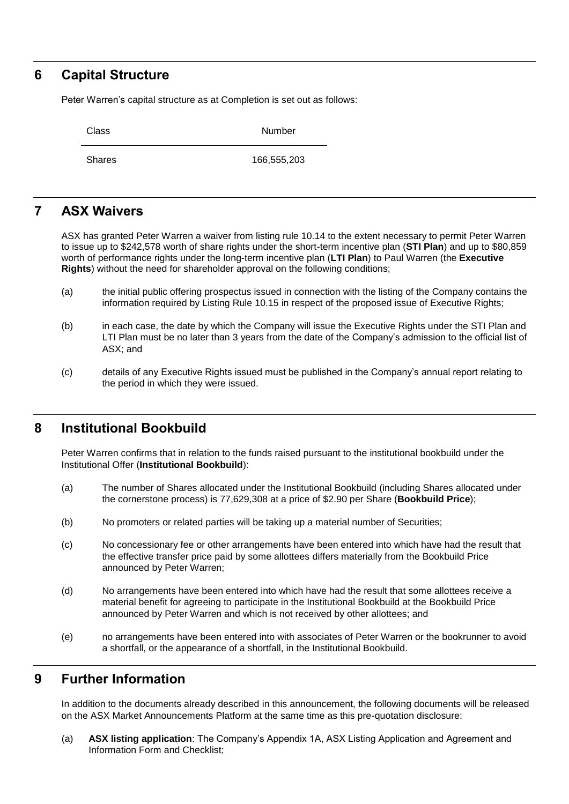#### **6 Capital Structure**

Peter Warren's capital structure as at Completion is set out as follows:

Class Number

Shares 166,555,203

## **7 ASX Waivers**

ASX has granted Peter Warren a waiver from listing rule 10.14 to the extent necessary to permit Peter Warren to issue up to \$242,578 worth of share rights under the short-term incentive plan (**STI Plan**) and up to \$80,859 worth of performance rights under the long-term incentive plan (**LTI Plan**) to Paul Warren (the **Executive Rights**) without the need for shareholder approval on the following conditions;

- (a) the initial public offering prospectus issued in connection with the listing of the Company contains the information required by Listing Rule 10.15 in respect of the proposed issue of Executive Rights;
- (b) in each case, the date by which the Company will issue the Executive Rights under the STI Plan and LTI Plan must be no later than 3 years from the date of the Company's admission to the official list of ASX; and
- (c) details of any Executive Rights issued must be published in the Company's annual report relating to the period in which they were issued.

## **8 Institutional Bookbuild**

Peter Warren confirms that in relation to the funds raised pursuant to the institutional bookbuild under the Institutional Offer (**Institutional Bookbuild**):

- (a) The number of Shares allocated under the Institutional Bookbuild (including Shares allocated under the cornerstone process) is 77,629,308 at a price of \$2.90 per Share (**Bookbuild Price**);
- (b) No promoters or related parties will be taking up a material number of Securities;
- (c) No concessionary fee or other arrangements have been entered into which have had the result that the effective transfer price paid by some allottees differs materially from the Bookbuild Price announced by Peter Warren;
- (d) No arrangements have been entered into which have had the result that some allottees receive a material benefit for agreeing to participate in the Institutional Bookbuild at the Bookbuild Price announced by Peter Warren and which is not received by other allottees; and
- (e) no arrangements have been entered into with associates of Peter Warren or the bookrunner to avoid a shortfall, or the appearance of a shortfall, in the Institutional Bookbuild.

## **9 Further Information**

In addition to the documents already described in this announcement, the following documents will be released on the ASX Market Announcements Platform at the same time as this pre-quotation disclosure:

(a) **ASX listing application**: The Company's Appendix 1A, ASX Listing Application and Agreement and Information Form and Checklist;